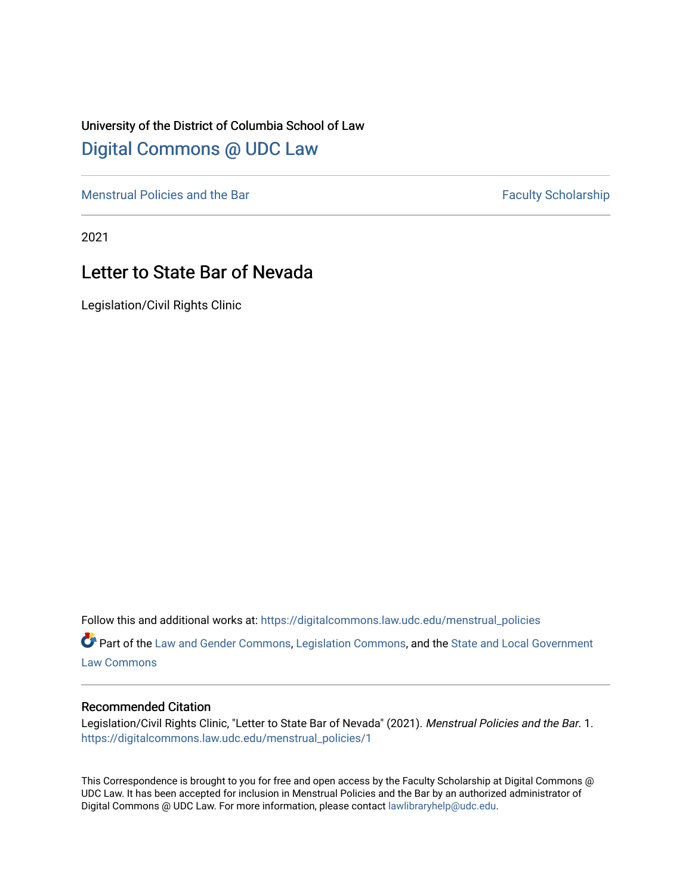## University of the District of Columbia School of Law [Digital Commons @ UDC Law](https://digitalcommons.law.udc.edu/)

[Menstrual Policies and the Bar](https://digitalcommons.law.udc.edu/menstrual_policies) [Faculty Scholarship](https://digitalcommons.law.udc.edu/fac_schol) Faculty Scholarship

2021

# Letter to State Bar of Nevada

Legislation/Civil Rights Clinic

Follow this and additional works at: [https://digitalcommons.law.udc.edu/menstrual\\_policies](https://digitalcommons.law.udc.edu/menstrual_policies?utm_source=digitalcommons.law.udc.edu%2Fmenstrual_policies%2F1&utm_medium=PDF&utm_campaign=PDFCoverPages) 

Part of the [Law and Gender Commons,](https://network.bepress.com/hgg/discipline/1298?utm_source=digitalcommons.law.udc.edu%2Fmenstrual_policies%2F1&utm_medium=PDF&utm_campaign=PDFCoverPages) [Legislation Commons](https://network.bepress.com/hgg/discipline/859?utm_source=digitalcommons.law.udc.edu%2Fmenstrual_policies%2F1&utm_medium=PDF&utm_campaign=PDFCoverPages), and the [State and Local Government](https://network.bepress.com/hgg/discipline/879?utm_source=digitalcommons.law.udc.edu%2Fmenstrual_policies%2F1&utm_medium=PDF&utm_campaign=PDFCoverPages) [Law Commons](https://network.bepress.com/hgg/discipline/879?utm_source=digitalcommons.law.udc.edu%2Fmenstrual_policies%2F1&utm_medium=PDF&utm_campaign=PDFCoverPages) 

#### Recommended Citation

Legislation/Civil Rights Clinic, "Letter to State Bar of Nevada" (2021). Menstrual Policies and the Bar. 1. [https://digitalcommons.law.udc.edu/menstrual\\_policies/1](https://digitalcommons.law.udc.edu/menstrual_policies/1?utm_source=digitalcommons.law.udc.edu%2Fmenstrual_policies%2F1&utm_medium=PDF&utm_campaign=PDFCoverPages)

This Correspondence is brought to you for free and open access by the Faculty Scholarship at Digital Commons @ UDC Law. It has been accepted for inclusion in Menstrual Policies and the Bar by an authorized administrator of Digital Commons @ UDC Law. For more information, please contact [lawlibraryhelp@udc.edu](mailto:lawlibraryhelp@udc.edu).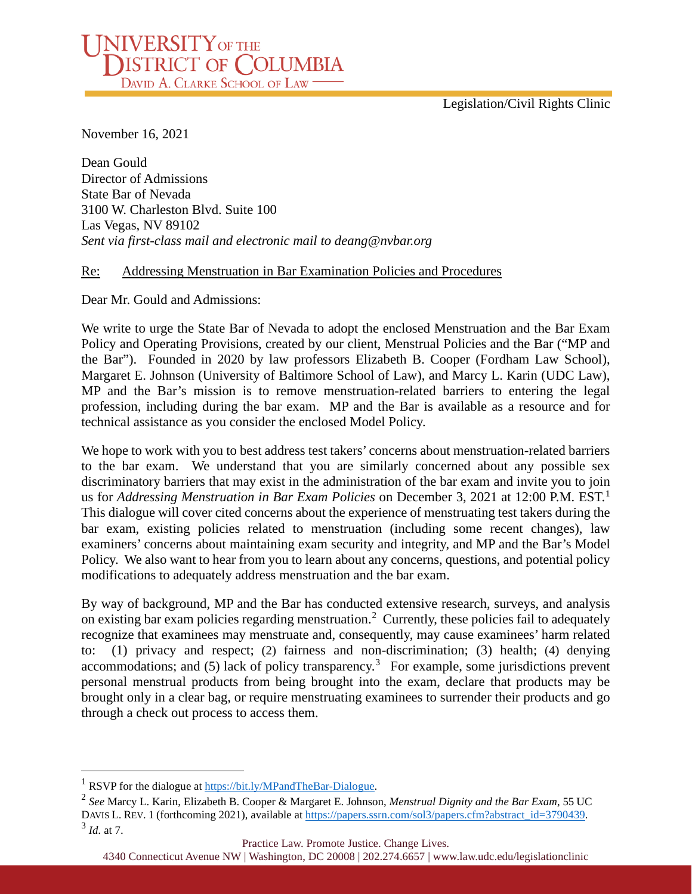Legislation/Civil Rights Clinic

November 16, 2021

Dean Gould Director of Admissions State Bar of Nevada 3100 W. Charleston Blvd. Suite 100 Las Vegas, NV 89102 *Sent via first-class mail and electronic mail to deang@nvbar.org*

NIVERSITY OF THE DISTRICT OF COLUMBIA

### Re: Addressing Menstruation in Bar Examination Policies and Procedures

Dear Mr. Gould and Admissions:

We write to urge the State Bar of Nevada to adopt the enclosed Menstruation and the Bar Exam Policy and Operating Provisions, created by our client, Menstrual Policies and the Bar ("MP and the Bar"). Founded in 2020 by law professors Elizabeth B. Cooper (Fordham Law School), Margaret E. Johnson (University of Baltimore School of Law), and Marcy L. Karin (UDC Law), MP and the Bar's mission is to remove menstruation-related barriers to entering the legal profession, including during the bar exam. MP and the Bar is available as a resource and for technical assistance as you consider the enclosed Model Policy.

We hope to work with you to best address test takers' concerns about menstruation-related barriers to the bar exam. We understand that you are similarly concerned about any possible sex discriminatory barriers that may exist in the administration of the bar exam and invite you to join us for *Addressing Menstruation in Bar Exam Policies* on December 3, 2021 at 12:00 P.M. EST.[1](#page-1-0) This dialogue will cover cited concerns about the experience of menstruating test takers during the bar exam, existing policies related to menstruation (including some recent changes), law examiners' concerns about maintaining exam security and integrity, and MP and the Bar's Model Policy. We also want to hear from you to learn about any concerns, questions, and potential policy modifications to adequately address menstruation and the bar exam.

By way of background, MP and the Bar has conducted extensive research, surveys, and analysis on existing bar exam policies regarding menstruation.<sup>[2](#page-1-1)</sup> Currently, these policies fail to adequately recognize that examinees may menstruate and, consequently, may cause examinees' harm related to: (1) privacy and respect; (2) fairness and non-discrimination; (3) health; (4) denying accommodations; and (5) lack of policy transparency.[3](#page-1-2) For example, some jurisdictions prevent personal menstrual products from being brought into the exam, declare that products may be brought only in a clear bag, or require menstruating examinees to surrender their products and go through a check out process to access them.

#### Practice Law. Promote Justice. Change Lives.

<span id="page-1-0"></span><sup>&</sup>lt;sup>1</sup> RSVP for the dialogue at [https://bit.ly/MPandTheBar-Dialogue.](https://bit.ly/MPandTheBar-Dialogue)

<span id="page-1-2"></span><span id="page-1-1"></span><sup>2</sup> *See* Marcy L. Karin, Elizabeth B. Cooper & Margaret E. Johnson, *Menstrual Dignity and the Bar Exam*, 55 UC DAVIS L. REV. 1 (forthcoming 2021), available at [https://papers.ssrn.com/sol3/papers.cfm?abstract\\_id=3790439.](https://papers.ssrn.com/sol3/papers.cfm?abstract_id=3790439) <sup>3</sup> *Id.* at 7.